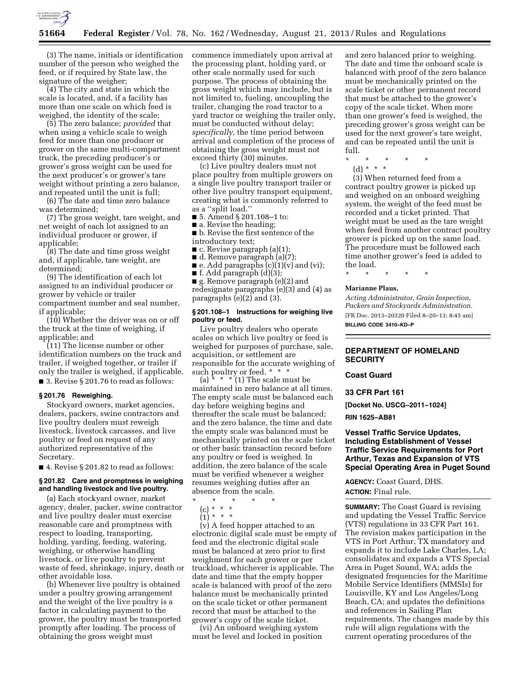

(3) The name, initials or identification number of the person who weighed the feed, or if required by State law, the signature of the weigher;

(4) The city and state in which the scale is located, and, if a facility has more than one scale on which feed is weighed, the identity of the scale;

(5) The zero balance; *provided* that when using a vehicle scale to weigh feed for more than one producer or grower on the same multi-compartment truck, the preceding producer's or grower's gross weight can be used for the next producer's or grower's tare weight without printing a zero balance, and repeated until the unit is full;

(6) The date and time zero balance was determined;

(7) The gross weight, tare weight, and net weight of each lot assigned to an individual producer or grower, if applicable;

(8) The date and time gross weight and, if applicable, tare weight, are determined;

(9) The identification of each lot assigned to an individual producer or grower by vehicle or trailer compartment number and seal number, if applicable;

(10) Whether the driver was on or off the truck at the time of weighing, if applicable; and

(11) The license number or other identification numbers on the truck and trailer, if weighed together, or trailer if only the trailer is weighed, if applicable. ■ 3. Revise § 201.76 to read as follows:

## **§ 201.76 Reweighing.**

Stockyard owners, market agencies, dealers, packers, swine contractors and live poultry dealers must reweigh livestock, livestock carcasses, and live poultry or feed on request of any authorized representative of the Secretary.

■ 4. Revise § 201.82 to read as follows:

## **§ 201.82 Care and promptness in weighing and handling livestock and live poultry.**

(a) Each stockyard owner, market agency, dealer, packer, swine contractor and live poultry dealer must exercise reasonable care and promptness with respect to loading, transporting, holding, yarding, feeding, watering, weighing, or otherwise handling livestock, or live poultry to prevent waste of feed, shrinkage, injury, death or other avoidable loss.

(b) Whenever live poultry is obtained under a poultry growing arrangement and the weight of the live poultry is a factor in calculating payment to the grower, the poultry must be transported promptly after loading. The process of obtaining the gross weight must

commence immediately upon arrival at the processing plant, holding yard, or other scale normally used for such purpose. The process of obtaining the gross weight which may include, but is not limited to, fueling, uncoupling the trailer, changing the road tractor to a yard tractor or weighing the trailer only, must be conducted without delay; *specifically,* the time period between arrival and completion of the process of obtaining the gross weight must not exceed thirty (30) minutes.

(c) Live poultry dealers must not place poultry from multiple growers on a single live poultry transport trailer or other live poultry transport equipment, creating what is commonly referred to as a ''split load.''

- 5. Amend § 201.108–1 to:
- a. Revise the heading;

■ b. Revise the first sentence of the introductory text;

- $\blacksquare$  c. Revise paragraph (a)(1);
- d. Remove paragraph (a)(7);
- $\blacksquare$  e. Add paragraphs  $(c)(1)(v)$  and  $(vi)$ ;
- f. Add paragraph  $(d)(3)$ ;

■ g. Remove paragraph (e)(2) and redesignate paragraphs (e)(3) and (4) as paragraphs (e)(2) and (3).

## **§ 201.108–1 Instructions for weighing live poultry or feed.**

Live poultry dealers who operate scales on which live poultry or feed is weighed for purposes of purchase, sale, acquisition, or settlement are responsible for the accurate weighing of such poultry or feed. \* \* \*

(a)  $* * * (1)$  The scale must be maintained in zero balance at all times. The empty scale must be balanced each day before weighing begins and thereafter the scale must be balanced; and the zero balance, the time and date the empty scale was balanced must be mechanically printed on the scale ticket or other basic transaction record before any poultry or feed is weighed. In addition, the zero balance of the scale must be verified whenever a weigher resumes weighing duties after an absence from the scale.

- \* \* \* \* \*
	- (c) \* \* \*  $(1) * * * *$
	-

(v) A feed hopper attached to an electronic digital scale must be empty of feed and the electronic digital scale must be balanced at zero prior to first weighment for each grower or per truckload, whichever is applicable. The date and time that the empty hopper scale is balanced with proof of the zero balance must be mechanically printed on the scale ticket or other permanent record that must be attached to the grower's copy of the scale ticket.

(vi) An onboard weighing system must be level and locked in position and zero balanced prior to weighing. The date and time the onboard scale is balanced with proof of the zero balance must be mechanically printed on the scale ticket or other permanent record that must be attached to the grower's copy of the scale ticket. When more than one grower's feed is weighed, the preceding grower's gross weight can be used for the next grower's tare weight, and can be repeated until the unit is full.

\* \* \* \* \*

- 
- (d) \* \* \*

(3) When returned feed from a contract poultry grower is picked up and weighed on an onboard weighing system, the weight of the feed must be recorded and a ticket printed. That weight must be used as the tare weight when feed from another contract poultry grower is picked up on the same load. The procedure must be followed each time another grower's feed is added to the load.

\* \* \* \* \*

#### **Marianne Plaus,**

*Acting Administrator, Grain Inspection, Packers and Stockyards Administration.*  [FR Doc. 2013–20320 Filed 8–20–13; 8:45 am] **BILLING CODE 3410–KD–P** 

## **DEPARTMENT OF HOMELAND SECURITY**

## **Coast Guard**

**33 CFR Part 161** 

**[Docket No. USCG–2011–1024]** 

## **RIN 1625–AB81**

## **Vessel Traffic Service Updates, Including Establishment of Vessel Traffic Service Requirements for Port Arthur, Texas and Expansion of VTS Special Operating Area in Puget Sound**

**AGENCY:** Coast Guard, DHS. **ACTION:** Final rule.

**SUMMARY:** The Coast Guard is revising and updating the Vessel Traffic Service (VTS) regulations in 33 CFR Part 161. The revision makes participation in the VTS in Port Arthur, TX mandatory and expands it to include Lake Charles, LA; consolidates and expands a VTS Special Area in Puget Sound, WA; adds the designated frequencies for the Maritime Mobile Service Identifiers (MMSIs) for Louisville, KY and Los Angeles/Long Beach, CA; and updates the definitions and references in Sailing Plan requirements. The changes made by this rule will align regulations with the current operating procedures of the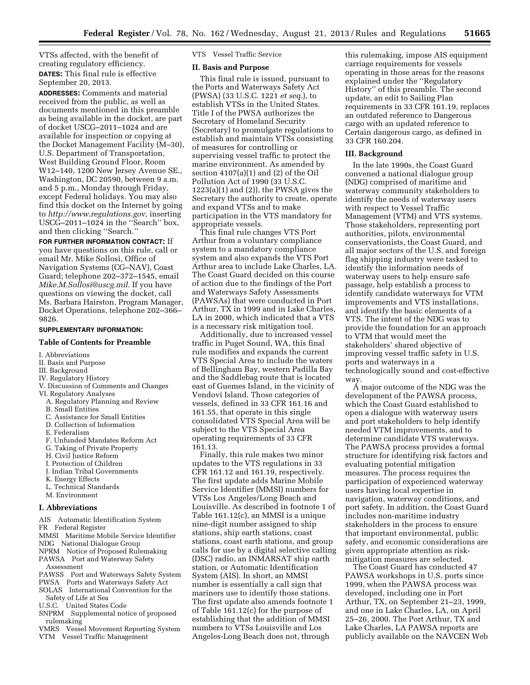VTSs affected, with the benefit of creating regulatory efficiency. **DATES:** This final rule is effective September 20, 2013.

**ADDRESSES:** Comments and material received from the public, as well as documents mentioned in this preamble as being available in the docket, are part of docket USCG–2011–1024 and are available for inspection or copying at the Docket Management Facility (M–30), U.S. Department of Transportation, West Building Ground Floor, Room W12–140, 1200 New Jersey Avenue SE., Washington, DC 20590, between 9 a.m. and 5 p.m., Monday through Friday, except Federal holidays. You may also find this docket on the Internet by going to *[http://www.regulations.gov,](http://www.regulations.gov)* inserting USCG–2011–1024 in the ''Search'' box, and then clicking ''Search.''

**FOR FURTHER INFORMATION CONTACT:** If you have questions on this rule, call or email Mr. Mike Sollosi, Office of Navigation Systems (CG–NAV), Coast Guard; telephone 202–372–1545, email *[Mike.M.Sollosi@uscg.mil.](mailto:Mike.M.Sollosi@uscg.mil)* If you have questions on viewing the docket, call Ms. Barbara Hairston, Program Manager, Docket Operations, telephone 202–366– 9826.

## **SUPPLEMENTARY INFORMATION:**

## **Table of Contents for Preamble**

- I. Abbreviations
- II. Basis and Purpose
- III. Background
- IV. Regulatory History
- V. Discussion of Comments and Changes
- VI. Regulatory Analyses
	- A. Regulatory Planning and Review B. Small Entities
	- C. Assistance for Small Entities
	- D. Collection of Information
	-
	- E. Federalism
	- F. Unfunded Mandates Reform Act
	- G. Taking of Private Property
	- H. Civil Justice Reform
	- I. Protection of Children
	- J. Indian Tribal Governments
	- K. Energy Effects
	- L. Technical Standards
- M. Environment

## **I. Abbreviations**

AIS Automatic Identification System

- FR Federal Register
- MMSI Maritime Mobile Service Identifier
- NDG National Dialogue Group
- NPRM Notice of Proposed Rulemaking PAWSA Port and Waterway Safety Assessment
- PAWSS Port and Waterways Safety System
- PWSA Ports and Waterways Safety Act
- SOLAS International Convention for the Safety of Life at Sea
- U.S.C. United States Code
- SNPRM Supplemental notice of proposed rulemaking
- VMRS Vessel Movement Reporting System VTM Vessel Traffic Management

VTS Vessel Traffic Service

## **II. Basis and Purpose**

This final rule is issued, pursuant to the Ports and Waterways Safety Act (PWSA) (33 U.S.C. 1221 *et seq.*), to establish VTSs in the United States. Title I of the PWSA authorizes the Secretary of Homeland Security (Secretary) to promulgate regulations to establish and maintain VTSs consisting of measures for controlling or supervising vessel traffic to protect the marine environment. As amended by section 4107(a)(1) and (2) of the Oil Pollution Act of 1990 (33 U.S.C. 1223(a)(1) and (2)), the PWSA gives the Secretary the authority to create, operate and expand VTSs and to make participation in the VTS mandatory for appropriate vessels.

This final rule changes VTS Port Arthur from a voluntary compliance system to a mandatory compliance system and also expands the VTS Port Arthur area to include Lake Charles, LA. The Coast Guard decided on this course of action due to the findings of the Port and Waterways Safety Assessments (PAWSAs) that were conducted in Port Arthur, TX in 1999 and in Lake Charles, LA in 2000, which indicated that a VTS is a necessary risk mitigation tool.

Additionally, due to increased vessel traffic in Puget Sound, WA, this final rule modifies and expands the current VTS Special Area to include the waters of Bellingham Bay, western Padilla Bay and the Saddlebag route that is located east of Guemes Island, in the vicinity of Vendovi Island. Those categories of vessels, defined in 33 CFR 161.16 and 161.55, that operate in this single consolidated VTS Special Area will be subject to the VTS Special Area operating requirements of 33 CFR 161.13.

Finally, this rule makes two minor updates to the VTS regulations in 33 CFR 161.12 and 161.19, respectively. The first update adds Marine Mobile Service Identifier (MMSI) numbers for VTSs Los Angeles/Long Beach and Louisville. As described in footnote 1 of Table 161.12(c), an MMSI is a unique nine-digit number assigned to ship stations, ship earth stations, coast stations, coast earth stations, and group calls for use by a digital selective calling (DSC) radio, an INMARSAT ship earth station, or Automatic Identification System (AIS). In short, an MMSI number is essentially a call sign that mariners use to identify those stations. The first update also amends footnote 1 of Table 161.12(c) for the purpose of establishing that the addition of MMSI numbers to VTSs Louisville and Los Angeles-Long Beach does not, through

this rulemaking, impose AIS equipment carriage requirements for vessels operating in those areas for the reasons explained under the ''Regulatory History'' of this preamble. The second update, an edit to Sailing Plan requirements in 33 CFR 161.19, replaces an outdated reference to Dangerous cargo with an updated reference to Certain dangerous cargo, as defined in 33 CFR 160.204.

### **III. Background**

In the late 1990s, the Coast Guard convened a national dialogue group (NDG) comprised of maritime and waterway community stakeholders to identify the needs of waterway users with respect to Vessel Traffic Management (VTM) and VTS systems. Those stakeholders, representing port authorities, pilots, environmental conservationists, the Coast Guard, and all major sectors of the U.S. and foreign flag shipping industry were tasked to identify the information needs of waterway users to help ensure safe passage, help establish a process to identify candidate waterways for VTM improvements and VTS installations, and identify the basic elements of a VTS. The intent of the NDG was to provide the foundation for an approach to VTM that would meet the stakeholders' shared objective of improving vessel traffic safety in U.S. ports and waterways in a technologically sound and cost-effective way.

A major outcome of the NDG was the development of the PAWSA process, which the Coast Guard established to open a dialogue with waterway users and port stakeholders to help identify needed VTM improvements, and to determine candidate VTS waterways. The PAWSA process provides a formal structure for identifying risk factors and evaluating potential mitigation measures. The process requires the participation of experienced waterway users having local expertise in navigation, waterway conditions, and port safety. In addition, the Coast Guard includes non-maritime industry stakeholders in the process to ensure that important environmental, public safety, and economic considerations are given appropriate attention as riskmitigation measures are selected.

The Coast Guard has conducted 47 PAWSA workshops in U.S. ports since 1999, when the PAWSA process was developed, including one in Port Arthur, TX, on September 21–23, 1999, and one in Lake Charles, LA, on April 25–26, 2000. The Port Arthur, TX and Lake Charles, LA PAWSA reports are publicly available on the NAVCEN Web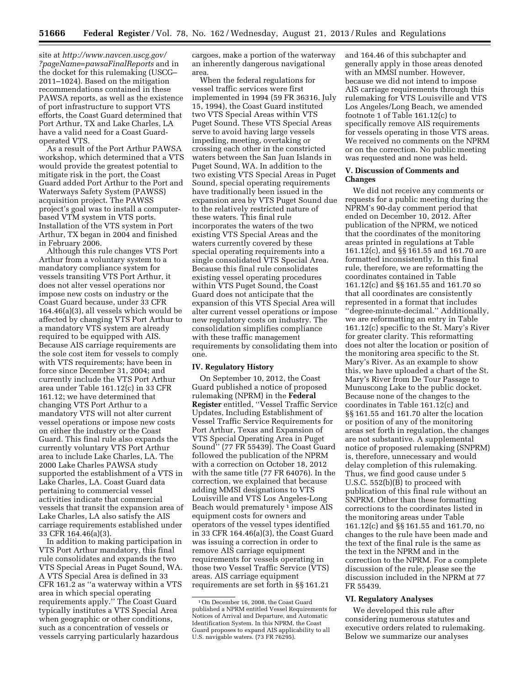site at *[http://www.navcen.uscg.gov/](http://www.navcen.uscg.gov/?pageName=pawsaFinalReports) [?pageName=pawsaFinalReports](http://www.navcen.uscg.gov/?pageName=pawsaFinalReports)* and in the docket for this rulemaking (USCG– 2011–1024). Based on the mitigation recommendations contained in these PAWSA reports, as well as the existence of port infrastructure to support VTS efforts, the Coast Guard determined that Port Arthur, TX and Lake Charles, LA have a valid need for a Coast Guardoperated VTS.

As a result of the Port Arthur PAWSA workshop, which determined that a VTS would provide the greatest potential to mitigate risk in the port, the Coast Guard added Port Arthur to the Port and Waterways Safety System (PAWSS) acquisition project. The PAWSS project's goal was to install a computerbased VTM system in VTS ports. Installation of the VTS system in Port Arthur, TX began in 2004 and finished in February 2006.

Although this rule changes VTS Port Arthur from a voluntary system to a mandatory compliance system for vessels transiting VTS Port Arthur, it does not alter vessel operations nor impose new costs on industry or the Coast Guard because, under 33 CFR 164.46(a)(3), all vessels which would be affected by changing VTS Port Arthur to a mandatory VTS system are already required to be equipped with AIS. Because AIS carriage requirements are the sole cost item for vessels to comply with VTS requirements; have been in force since December 31, 2004; and currently include the VTS Port Arthur area under Table 161.12(c) in 33 CFR 161.12; we have determined that changing VTS Port Arthur to a mandatory VTS will not alter current vessel operations or impose new costs on either the industry or the Coast Guard. This final rule also expands the currently voluntary VTS Port Arthur area to include Lake Charles, LA. The 2000 Lake Charles PAWSA study supported the establishment of a VTS in Lake Charles, LA. Coast Guard data pertaining to commercial vessel activities indicate that commercial vessels that transit the expansion area of Lake Charles, LA also satisfy the AIS carriage requirements established under 33 CFR 164.46(a)(3).

In addition to making participation in VTS Port Arthur mandatory, this final rule consolidates and expands the two VTS Special Areas in Puget Sound, WA. A VTS Special Area is defined in 33 CFR 161.2 as ''a waterway within a VTS area in which special operating requirements apply.'' The Coast Guard typically institutes a VTS Special Area when geographic or other conditions, such as a concentration of vessels or vessels carrying particularly hazardous

cargoes, make a portion of the waterway an inherently dangerous navigational area.

When the federal regulations for vessel traffic services were first implemented in 1994 (59 FR 36316, July 15, 1994), the Coast Guard instituted two VTS Special Areas within VTS Puget Sound. These VTS Special Areas serve to avoid having large vessels impeding, meeting, overtaking or crossing each other in the constricted waters between the San Juan Islands in Puget Sound, WA. In addition to the two existing VTS Special Areas in Puget Sound, special operating requirements have traditionally been issued in the expansion area by VTS Puget Sound due to the relatively restricted nature of these waters. This final rule incorporates the waters of the two existing VTS Special Areas and the waters currently covered by these special operating requirements into a single consolidated VTS Special Area. Because this final rule consolidates existing vessel operating procedures within VTS Puget Sound, the Coast Guard does not anticipate that the expansion of this VTS Special Area will alter current vessel operations or impose new regulatory costs on industry. The consolidation simplifies compliance with these traffic management requirements by consolidating them into one.

### **IV. Regulatory History**

On September 10, 2012, the Coast Guard published a notice of proposed rulemaking (NPRM) in the **Federal Register** entitled, ''Vessel Traffic Service Updates, Including Establishment of Vessel Traffic Service Requirements for Port Arthur, Texas and Expansion of VTS Special Operating Area in Puget Sound'' (77 FR 55439). The Coast Guard followed the publication of the NPRM with a correction on October 18, 2012 with the same title (77 FR 64076). In the correction, we explained that because adding MMSI designations to VTS Louisville and VTS Los Angeles-Long Beach would prematurely<sup>1</sup> impose AIS equipment costs for owners and operators of the vessel types identified in 33 CFR 164.46(a)(3), the Coast Guard was issuing a correction in order to remove AIS carriage equipment requirements for vessels operating in those two Vessel Traffic Service (VTS) areas. AIS carriage equipment requirements are set forth in §§ 161.21

and 164.46 of this subchapter and generally apply in those areas denoted with an MMSI number. However, because we did not intend to impose AIS carriage requirements through this rulemaking for VTS Louisville and VTS Los Angeles/Long Beach, we amended footnote 1 of Table 161.12(c) to specifically remove AIS requirements for vessels operating in those VTS areas. We received no comments on the NPRM or on the correction. No public meeting was requested and none was held.

## **V. Discussion of Comments and Changes**

We did not receive any comments or requests for a public meeting during the NPRM's 90-day comment period that ended on December 10, 2012. After publication of the NPRM, we noticed that the coordinates of the monitoring areas printed in regulations at Table 161.12(c), and §§ 161.55 and 161.70 are formatted inconsistently. In this final rule, therefore, we are reformatting the coordinates contained in Table 161.12(c) and §§ 161.55 and 161.70 so that all coordinates are consistently represented in a format that includes ''degree-minute-decimal.'' Additionally, we are reformatting an entry in Table 161.12(c) specific to the St. Mary's River for greater clarity. This reformatting does not alter the location or position of the monitoring area specific to the St. Mary's River. As an example to show this, we have uploaded a chart of the St. Mary's River from De Tour Passage to Munuscong Lake to the public docket. Because none of the changes to the coordinates in Table 161.12(c) and §§ 161.55 and 161.70 alter the location or position of any of the monitoring areas set forth in regulation, the changes are not substantive. A supplemental notice of proposed rulemaking (SNPRM) is, therefore, unnecessary and would delay completion of this rulemaking. Thus, we find good cause under 5 U.S.C. 552(b)(B) to proceed with publication of this final rule without an SNPRM. Other than these formatting corrections to the coordinates listed in the monitoring areas under Table 161.12(c) and §§ 161.55 and 161.70, no changes to the rule have been made and the text of the final rule is the same as the text in the NPRM and in the correction to the NPRM. For a complete discussion of the rule, please see the discussion included in the NPRM at 77 FR 55439.

#### **VI. Regulatory Analyses**

We developed this rule after considering numerous statutes and executive orders related to rulemaking. Below we summarize our analyses

<sup>1</sup>On December 16, 2008, the Coast Guard published a NPRM entitled Vessel Requirements for Notices of Arrival and Departure, and Automatic Identification System. In this NPRM, the Coast Guard proposes to expand AIS applicability to all U.S. navigable waters. (73 FR 76295).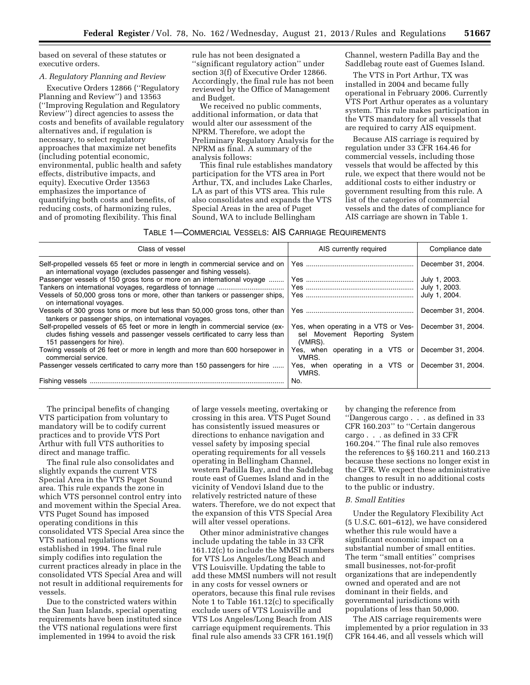based on several of these statutes or executive orders.

### *A. Regulatory Planning and Review*

Executive Orders 12866 (''Regulatory Planning and Review'') and 13563 (''Improving Regulation and Regulatory Review'') direct agencies to assess the costs and benefits of available regulatory alternatives and, if regulation is necessary, to select regulatory approaches that maximize net benefits (including potential economic, environmental, public health and safety effects, distributive impacts, and equity). Executive Order 13563 emphasizes the importance of quantifying both costs and benefits, of reducing costs, of harmonizing rules, and of promoting flexibility. This final

rule has not been designated a ''significant regulatory action'' under section 3(f) of Executive Order 12866. Accordingly, the final rule has not been reviewed by the Office of Management and Budget.

We received no public comments, additional information, or data that would alter our assessment of the NPRM. Therefore, we adopt the Preliminary Regulatory Analysis for the NPRM as final. A summary of the analysis follows:

This final rule establishes mandatory participation for the VTS area in Port Arthur, TX, and includes Lake Charles, LA as part of this VTS area. This rule also consolidates and expands the VTS Special Areas in the area of Puget Sound, WA to include Bellingham

Channel, western Padilla Bay and the Saddlebag route east of Guemes Island.

The VTS in Port Arthur, TX was installed in 2004 and became fully operational in February 2006. Currently VTS Port Arthur operates as a voluntary system. This rule makes participation in the VTS mandatory for all vessels that are required to carry AIS equipment.

Because AIS carriage is required by regulation under 33 CFR 164.46 for commercial vessels, including those vessels that would be affected by this rule, we expect that there would not be additional costs to either industry or government resulting from this rule. A list of the categories of commercial vessels and the dates of compliance for AIS carriage are shown in Table 1.

### TABLE 1—COMMERCIAL VESSELS: AIS CARRIAGE REQUIREMENTS

| Class of vessel                                                                                                                                                                             | AIS currently required                                                           | Compliance date    |
|---------------------------------------------------------------------------------------------------------------------------------------------------------------------------------------------|----------------------------------------------------------------------------------|--------------------|
| Self-propelled vessels 65 feet or more in length in commercial service and on<br>an international voyage (excludes passenger and fishing vessels).                                          |                                                                                  | December 31, 2004. |
| Passenger vessels of 150 gross tons or more on an international voyage                                                                                                                      |                                                                                  | July 1, 2003.      |
|                                                                                                                                                                                             |                                                                                  | July 1, 2003.      |
| Vessels of 50,000 gross tons or more, other than tankers or passenger ships,<br>on international voyages.                                                                                   |                                                                                  | July 1, 2004.      |
| Vessels of 300 gross tons or more but less than 50,000 gross tons, other than<br>tankers or passenger ships, on international voyages.                                                      |                                                                                  | December 31, 2004. |
| Self-propelled vessels of 65 feet or more in length in commercial service (ex-<br>cludes fishing vessels and passenger vessels certificated to carry less than<br>151 passengers for hire). | Yes, when operating in a VTS or Ves-<br>sel Movement Reporting System<br>(VMRS). | December 31, 2004. |
| Towing vessels of 26 feet or more in length and more than 600 horsepower in<br>commercial service.                                                                                          | Yes, when operating in a VTS or<br>VMRS.                                         | December 31, 2004. |
| Passenger vessels certificated to carry more than 150 passengers for hire                                                                                                                   | Yes, when operating in a VTS or<br>VMRS.                                         | December 31, 2004. |
|                                                                                                                                                                                             | No.                                                                              |                    |

The principal benefits of changing VTS participation from voluntary to mandatory will be to codify current practices and to provide VTS Port Arthur with full VTS authorities to direct and manage traffic.

The final rule also consolidates and slightly expands the current VTS Special Area in the VTS Puget Sound area. This rule expands the zone in which VTS personnel control entry into and movement within the Special Area. VTS Puget Sound has imposed operating conditions in this consolidated VTS Special Area since the VTS national regulations were established in 1994. The final rule simply codifies into regulation the current practices already in place in the consolidated VTS Special Area and will not result in additional requirements for vessels.

Due to the constricted waters within the San Juan Islands, special operating requirements have been instituted since the VTS national regulations were first implemented in 1994 to avoid the risk

of large vessels meeting, overtaking or crossing in this area. VTS Puget Sound has consistently issued measures or directions to enhance navigation and vessel safety by imposing special operating requirements for all vessels operating in Bellingham Channel, western Padilla Bay, and the Saddlebag route east of Guemes Island and in the vicinity of Vendovi Island due to the relatively restricted nature of these waters. Therefore, we do not expect that the expansion of this VTS Special Area will alter vessel operations.

Other minor administrative changes include updating the table in 33 CFR 161.12(c) to include the MMSI numbers for VTS Los Angeles/Long Beach and VTS Louisville. Updating the table to add these MMSI numbers will not result in any costs for vessel owners or operators, because this final rule revises Note 1 to Table 161.12(c) to specifically exclude users of VTS Louisville and VTS Los Angeles/Long Beach from AIS carriage equipment requirements. This final rule also amends 33 CFR 161.19(f)

by changing the reference from ''Dangerous cargo . . . as defined in 33 CFR 160.203'' to ''Certain dangerous cargo . . . as defined in 33 CFR 160.204.'' The final rule also removes the references to §§ 160.211 and 160.213 because these sections no longer exist in the CFR. We expect these administrative changes to result in no additional costs to the public or industry.

## *B. Small Entities*

Under the Regulatory Flexibility Act (5 U.S.C. 601–612), we have considered whether this rule would have a significant economic impact on a substantial number of small entities. The term ''small entities'' comprises small businesses, not-for-profit organizations that are independently owned and operated and are not dominant in their fields, and governmental jurisdictions with populations of less than 50,000.

The AIS carriage requirements were implemented by a prior regulation in 33 CFR 164.46, and all vessels which will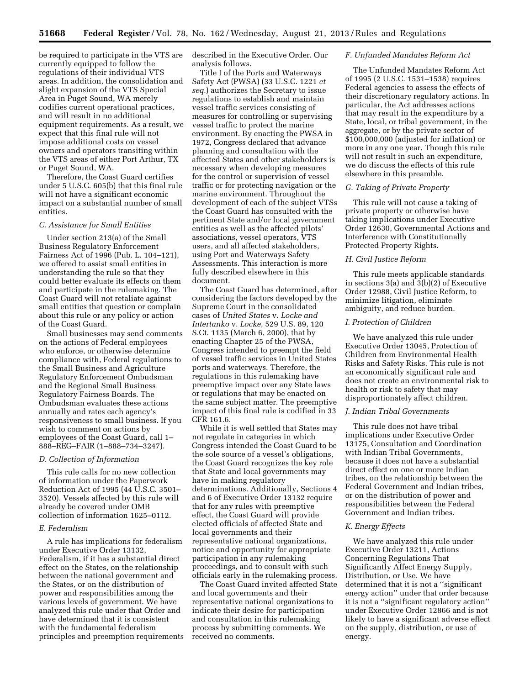be required to participate in the VTS are currently equipped to follow the regulations of their individual VTS areas. In addition, the consolidation and slight expansion of the VTS Special Area in Puget Sound, WA merely codifies current operational practices, and will result in no additional equipment requirements. As a result, we expect that this final rule will not impose additional costs on vessel owners and operators transiting within the VTS areas of either Port Arthur, TX or Puget Sound, WA.

Therefore, the Coast Guard certifies under 5 U.S.C. 605(b) that this final rule will not have a significant economic impact on a substantial number of small entities.

#### *C. Assistance for Small Entities*

Under section 213(a) of the Small Business Regulatory Enforcement Fairness Act of 1996 (Pub. L. 104–121), we offered to assist small entities in understanding the rule so that they could better evaluate its effects on them and participate in the rulemaking. The Coast Guard will not retaliate against small entities that question or complain about this rule or any policy or action of the Coast Guard.

Small businesses may send comments on the actions of Federal employees who enforce, or otherwise determine compliance with, Federal regulations to the Small Business and Agriculture Regulatory Enforcement Ombudsman and the Regional Small Business Regulatory Fairness Boards. The Ombudsman evaluates these actions annually and rates each agency's responsiveness to small business. If you wish to comment on actions by employees of the Coast Guard, call 1– 888–REG–FAIR (1–888–734–3247).

## *D. Collection of Information*

This rule calls for no new collection of information under the Paperwork Reduction Act of 1995 (44 U.S.C. 3501– 3520). Vessels affected by this rule will already be covered under OMB collection of information 1625–0112.

### *E. Federalism*

A rule has implications for federalism under Executive Order 13132, Federalism, if it has a substantial direct effect on the States, on the relationship between the national government and the States, or on the distribution of power and responsibilities among the various levels of government. We have analyzed this rule under that Order and have determined that it is consistent with the fundamental federalism principles and preemption requirements described in the Executive Order. Our analysis follows.

Title I of the Ports and Waterways Safety Act (PWSA) (33 U.S.C. 1221 *et seq.*) authorizes the Secretary to issue regulations to establish and maintain vessel traffic services consisting of measures for controlling or supervising vessel traffic to protect the marine environment. By enacting the PWSA in 1972, Congress declared that advance planning and consultation with the affected States and other stakeholders is necessary when developing measures for the control or supervision of vessel traffic or for protecting navigation or the marine environment. Throughout the development of each of the subject VTSs the Coast Guard has consulted with the pertinent State and/or local government entities as well as the affected pilots' associations, vessel operators, VTS users, and all affected stakeholders, using Port and Waterways Safety Assessments. This interaction is more fully described elsewhere in this document.

The Coast Guard has determined, after considering the factors developed by the Supreme Court in the consolidated cases of *United States* v. *Locke and Intertanko* v. *Locke,* 529 U.S. 89, 120 S.Ct. 1135 (March 6, 2000), that by enacting Chapter 25 of the PWSA, Congress intended to preempt the field of vessel traffic services in United States ports and waterways. Therefore, the regulations in this rulemaking have preemptive impact over any State laws or regulations that may be enacted on the same subject matter. The preemptive impact of this final rule is codified in 33 CFR 161.6.

While it is well settled that States may not regulate in categories in which Congress intended the Coast Guard to be the sole source of a vessel's obligations, the Coast Guard recognizes the key role that State and local governments may have in making regulatory determinations. Additionally, Sections 4 and 6 of Executive Order 13132 require that for any rules with preemptive effect, the Coast Guard will provide elected officials of affected State and local governments and their representative national organizations, notice and opportunity for appropriate participation in any rulemaking proceedings, and to consult with such officials early in the rulemaking process.

The Coast Guard invited affected State and local governments and their representative national organizations to indicate their desire for participation and consultation in this rulemaking process by submitting comments. We received no comments.

#### *F. Unfunded Mandates Reform Act*

The Unfunded Mandates Reform Act of 1995 (2 U.S.C. 1531–1538) requires Federal agencies to assess the effects of their discretionary regulatory actions. In particular, the Act addresses actions that may result in the expenditure by a State, local, or tribal government, in the aggregate, or by the private sector of \$100,000,000 (adjusted for inflation) or more in any one year. Though this rule will not result in such an expenditure, we do discuss the effects of this rule elsewhere in this preamble.

### *G. Taking of Private Property*

This rule will not cause a taking of private property or otherwise have taking implications under Executive Order 12630, Governmental Actions and Interference with Constitutionally Protected Property Rights.

#### *H. Civil Justice Reform*

This rule meets applicable standards in sections 3(a) and 3(b)(2) of Executive Order 12988, Civil Justice Reform, to minimize litigation, eliminate ambiguity, and reduce burden.

## *I. Protection of Children*

We have analyzed this rule under Executive Order 13045, Protection of Children from Environmental Health Risks and Safety Risks. This rule is not an economically significant rule and does not create an environmental risk to health or risk to safety that may disproportionately affect children.

### *J. Indian Tribal Governments*

This rule does not have tribal implications under Executive Order 13175, Consultation and Coordination with Indian Tribal Governments, because it does not have a substantial direct effect on one or more Indian tribes, on the relationship between the Federal Government and Indian tribes, or on the distribution of power and responsibilities between the Federal Government and Indian tribes.

### *K. Energy Effects*

We have analyzed this rule under Executive Order 13211, Actions Concerning Regulations That Significantly Affect Energy Supply, Distribution, or Use. We have determined that it is not a ''significant energy action'' under that order because it is not a ''significant regulatory action'' under Executive Order 12866 and is not likely to have a significant adverse effect on the supply, distribution, or use of energy.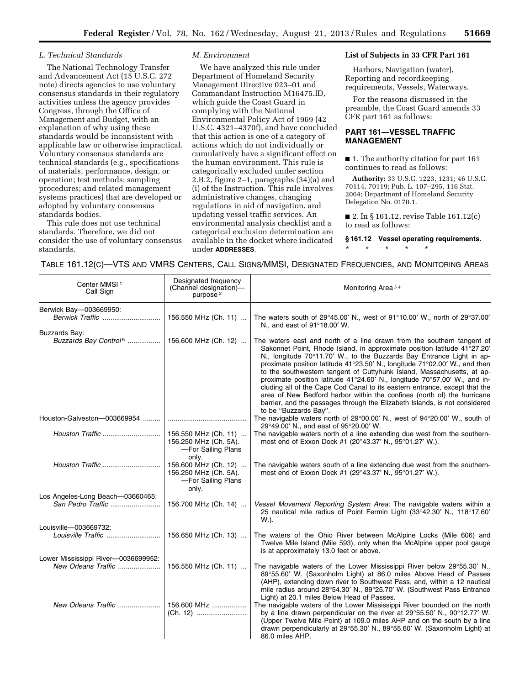## *L. Technical Standards*

The National Technology Transfer and Advancement Act (15 U.S.C. 272 note) directs agencies to use voluntary consensus standards in their regulatory activities unless the agency provides Congress, through the Office of Management and Budget, with an explanation of why using these standards would be inconsistent with applicable law or otherwise impractical. Voluntary consensus standards are technical standards (e.g., specifications of materials, performance, design, or operation; test methods; sampling procedures; and related management systems practices) that are developed or adopted by voluntary consensus standards bodies.

This rule does not use technical standards. Therefore, we did not consider the use of voluntary consensus standards.

## *M. Environment*

We have analyzed this rule under Department of Homeland Security Management Directive 023–01 and Commandant Instruction M16475.lD, which guide the Coast Guard in complying with the National Environmental Policy Act of 1969 (42 U.S.C. 4321–4370f), and have concluded that this action is one of a category of actions which do not individually or cumulatively have a significant effect on the human environment. This rule is categorically excluded under section 2.B.2, figure 2–1, paragraphs (34)(a) and (i) of the Instruction. This rule involves administrative changes, changing regulations in aid of navigation, and updating vessel traffic services. An environmental analysis checklist and a categorical exclusion determination are available in the docket where indicated under **ADDRESSES**.

#### **List of Subjects in 33 CFR Part 161**

Harbors, Navigation (water), Reporting and recordkeeping requirements, Vessels, Waterways.

For the reasons discussed in the preamble, the Coast Guard amends 33 CFR part 161 as follows:

## **PART 161—VESSEL TRAFFIC MANAGEMENT**

■ 1. The authority citation for part 161 continues to read as follows:

**Authority:** 33 U.S.C. 1223, 1231; 46 U.S.C. 70114, 70119; Pub. L. 107–295, 116 Stat. 2064; Department of Homeland Security Delegation No. 0170.1.

■ 2. In § 161.12, revise Table 161.12(c) to read as follows:

**§ 161.12 Vessel operating requirements.** 

\* \* \* \* \*

| Center MMSI <sup>1</sup><br>Call Sign                      | Designated frequency<br>(Channel designation)-<br>purpose <sup>2</sup>       | Monitoring Area <sup>34</sup>                                                                                                                                                                                                                                                                                                                                                                                                                                                                                                                                                                                                                                                                                                    |
|------------------------------------------------------------|------------------------------------------------------------------------------|----------------------------------------------------------------------------------------------------------------------------------------------------------------------------------------------------------------------------------------------------------------------------------------------------------------------------------------------------------------------------------------------------------------------------------------------------------------------------------------------------------------------------------------------------------------------------------------------------------------------------------------------------------------------------------------------------------------------------------|
| Berwick Bay-003669950:<br>Berwick Traffic                  | 156.550 MHz (Ch. 11)                                                         | The waters south of $29^{\circ}45.00'$ N., west of $91^{\circ}10.00'$ W., north of $29^{\circ}37.00'$<br>N., and east of 91°18.00' W.                                                                                                                                                                                                                                                                                                                                                                                                                                                                                                                                                                                            |
| Buzzards Bay:                                              |                                                                              | The waters east and north of a line drawn from the southern tangent of<br>Sakonnet Point, Rhode Island, in approximate position latitude 41°27.20'<br>N., longitude 70°11.70' W., to the Buzzards Bay Entrance Light in ap-<br>proximate position latitude 41°23.50' N., longitude 71°02.00' W., and then<br>to the southwestern tangent of Cuttyhunk Island, Massachusetts, at ap-<br>proximate position latitude 41°24.60' N., longitude 70°57.00' W., and in-<br>cluding all of the Cape Cod Canal to its eastern entrance, except that the<br>area of New Bedford harbor within the confines (north of) the hurricane<br>barrier, and the passages through the Elizabeth Islands, is not considered<br>to be "Buzzards Bay". |
| Houston-Galveston-003669954                                |                                                                              | The navigable waters north of 29°00.00' N., west of 94°20.00' W., south of<br>29°49.00' N., and east of 95°20.00' W.                                                                                                                                                                                                                                                                                                                                                                                                                                                                                                                                                                                                             |
| Houston Traffic                                            | 156.550 MHz (Ch. 11)<br>156.250 MHz (Ch. 5A).<br>-For Sailing Plans<br>only. | The navigable waters north of a line extending due west from the southern-<br>most end of Exxon Dock #1 (20°43.37' N., 95°01.27' W.).                                                                                                                                                                                                                                                                                                                                                                                                                                                                                                                                                                                            |
|                                                            | 156.600 MHz (Ch. 12)<br>156.250 MHz (Ch. 5A).<br>-For Sailing Plans<br>only. | The navigable waters south of a line extending due west from the southern-<br>most end of Exxon Dock #1 (29°43.37' N., 95°01.27' W.).                                                                                                                                                                                                                                                                                                                                                                                                                                                                                                                                                                                            |
| Los Angeles-Long Beach-03660465:<br>San Pedro Traffic      | 156.700 MHz (Ch. 14)                                                         | Vessel Movement Reporting System Area: The navigable waters within a<br>25 nautical mile radius of Point Fermin Light (33°42.30' N., 118°17.60'<br>W.).                                                                                                                                                                                                                                                                                                                                                                                                                                                                                                                                                                          |
| Louisville-003669732:                                      | 156.650 MHz (Ch. 13)                                                         | The waters of the Ohio River between McAlpine Locks (Mile 606) and<br>Twelve Mile Island (Mile 593), only when the McAlpine upper pool gauge<br>is at approximately 13.0 feet or above.                                                                                                                                                                                                                                                                                                                                                                                                                                                                                                                                          |
| Lower Mississippi River-0036699952:<br>New Orleans Traffic | 156.550 MHz (Ch. 11)                                                         | The navigable waters of the Lower Mississippi River below 29°55.30' N.,<br>89°55.60' W. (Saxonholm Light) at 86.0 miles Above Head of Passes<br>(AHP), extending down river to Southwest Pass, and, within a 12 nautical<br>mile radius around 28°54.30' N., 89°25.70' W. (Southwest Pass Entrance                                                                                                                                                                                                                                                                                                                                                                                                                               |
| New Orleans Traffic                                        | 156,600 MHz<br>(Ch. 12)                                                      | Light) at 20.1 miles Below Head of Passes.<br>The navigable waters of the Lower Mississippi River bounded on the north<br>by a line drawn perpendicular on the river at 29°55.50' N., 90°12.77' W.<br>(Upper Twelve Mile Point) at 109.0 miles AHP and on the south by a line<br>drawn perpendicularly at 29°55.30' N., 89°55.60' W. (Saxonholm Light) at<br>86.0 miles AHP.                                                                                                                                                                                                                                                                                                                                                     |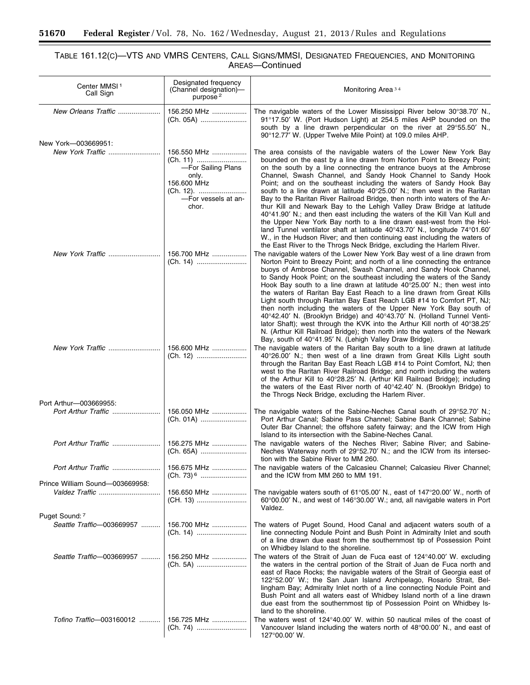$\equiv$ 

# TABLE 161.12(C)—VTS AND VMRS CENTERS, CALL SIGNS/MMSI, DESIGNATED FREQUENCIES, AND MONITORING AREAS—Continued

▀

| Center MMSI <sup>1</sup><br>Call Sign   | Designated frequency<br>(Channel designation)-<br>purpose <sup>2</sup>                  | Monitoring Area <sup>34</sup>                                                                                                                                                                                                                                                                                                                                                                                                                                                                                                                                                                                                                                                                                                                                                                                                                                                                            |
|-----------------------------------------|-----------------------------------------------------------------------------------------|----------------------------------------------------------------------------------------------------------------------------------------------------------------------------------------------------------------------------------------------------------------------------------------------------------------------------------------------------------------------------------------------------------------------------------------------------------------------------------------------------------------------------------------------------------------------------------------------------------------------------------------------------------------------------------------------------------------------------------------------------------------------------------------------------------------------------------------------------------------------------------------------------------|
| New Orleans Traffic                     | 156.250 MHz<br>(Ch. 05A)                                                                | The navigable waters of the Lower Mississippi River below 30°38.70' N.,<br>91°17.50' W. (Port Hudson Light) at 254.5 miles AHP bounded on the<br>south by a line drawn perpendicular on the river at 29°55.50' N.,<br>90°12.77' W. (Upper Twelve Mile Point) at 109.0 miles AHP.                                                                                                                                                                                                                                                                                                                                                                                                                                                                                                                                                                                                                         |
| New York-003669951:<br>New York Traffic | 156.550 MHz                                                                             | The area consists of the navigable waters of the Lower New York Bay<br>bounded on the east by a line drawn from Norton Point to Breezy Point;                                                                                                                                                                                                                                                                                                                                                                                                                                                                                                                                                                                                                                                                                                                                                            |
|                                         | -For Sailing Plans<br>only.<br>156.600 MHz<br>(Ch. 12).<br>-For vessels at an-<br>chor. | on the south by a line connecting the entrance buoys at the Ambrose<br>Channel, Swash Channel, and Sandy Hook Channel to Sandy Hook<br>Point; and on the southeast including the waters of Sandy Hook Bay<br>south to a line drawn at latitude 40°25.00' N.; then west in the Raritan<br>Bay to the Raritan River Railroad Bridge, then north into waters of the Ar-<br>thur Kill and Newark Bay to the Lehigh Valley Draw Bridge at latitude<br>40°41.90' N.; and then east including the waters of the Kill Van Kull and<br>the Upper New York Bay north to a line drawn east-west from the Hol-<br>land Tunnel ventilator shaft at latitude 40°43.70' N., longitude 74°01.60'<br>W., in the Hudson River; and then continuing east including the waters of<br>the East River to the Throgs Neck Bridge, excluding the Harlem River.                                                                   |
| New York Traffic                        | 156.700 MHz<br>(Ch. 14)                                                                 | The navigable waters of the Lower New York Bay west of a line drawn from<br>Norton Point to Breezy Point; and north of a line connecting the entrance<br>buoys of Ambrose Channel, Swash Channel, and Sandy Hook Channel,<br>to Sandy Hook Point; on the southeast including the waters of the Sandy<br>Hook Bay south to a line drawn at latitude 40°25.00' N.; then west into<br>the waters of Raritan Bay East Reach to a line drawn from Great Kills<br>Light south through Raritan Bay East Reach LGB #14 to Comfort PT, NJ;<br>then north including the waters of the Upper New York Bay south of<br>40°42.40' N. (Brooklyn Bridge) and 40°43.70' N. (Holland Tunnel Venti-<br>lator Shaft); west through the KVK into the Arthur Kill north of 40°38.25'<br>N. (Arthur Kill Railroad Bridge); then north into the waters of the Newark<br>Bay, south of 40°41.95' N. (Lehigh Valley Draw Bridge). |
| New York Traffic                        | 156.600 MHz<br>(Ch. 12)                                                                 | The navigable waters of the Raritan Bay south to a line drawn at latitude<br>40°26.00' N.; then west of a line drawn from Great Kills Light south<br>through the Raritan Bay East Reach LGB #14 to Point Comfort, NJ; then<br>west to the Raritan River Railroad Bridge; and north including the waters<br>of the Arthur Kill to 40°28.25' N. (Arthur Kill Railroad Bridge); including<br>the waters of the East River north of 40°42.40' N. (Brooklyn Bridge) to<br>the Throgs Neck Bridge, excluding the Harlem River.                                                                                                                                                                                                                                                                                                                                                                                 |
| Port Arthur-003669955:                  |                                                                                         |                                                                                                                                                                                                                                                                                                                                                                                                                                                                                                                                                                                                                                                                                                                                                                                                                                                                                                          |
| Port Arthur Traffic                     | 156.050 MHz                                                                             | The navigable waters of the Sabine-Neches Canal south of 29°52.70' N.;<br>Port Arthur Canal; Sabine Pass Channel; Sabine Bank Channel; Sabine<br>Outer Bar Channel; the offshore safety fairway; and the ICW from High<br>Island to its intersection with the Sabine-Neches Canal.                                                                                                                                                                                                                                                                                                                                                                                                                                                                                                                                                                                                                       |
| Port Arthur Traffic                     | 156.275 MHz<br>(Ch. 65A)                                                                | The navigable waters of the Neches River; Sabine River; and Sabine-<br>Neches Waterway north of 29°52.70' N.; and the ICW from its intersec-<br>tion with the Sabine River to MM 260.                                                                                                                                                                                                                                                                                                                                                                                                                                                                                                                                                                                                                                                                                                                    |
|                                         | 156.675 MHz                                                                             | The navigable waters of the Calcasieu Channel; Calcasieu River Channel;<br>and the ICW from MM 260 to MM 191.                                                                                                                                                                                                                                                                                                                                                                                                                                                                                                                                                                                                                                                                                                                                                                                            |
| Prince William Sound-003669958:         |                                                                                         |                                                                                                                                                                                                                                                                                                                                                                                                                                                                                                                                                                                                                                                                                                                                                                                                                                                                                                          |
| Valdez Traffic                          | 156.650 MHz<br>(CH. 13)                                                                 | The navigable waters south of $61^{\circ}05.00'$ N., east of $147^{\circ}20.00'$ W., north of<br>60°00.00' N., and west of 146°30.00' W.; and, all navigable waters in Port<br>Valdez.                                                                                                                                                                                                                                                                                                                                                                                                                                                                                                                                                                                                                                                                                                                   |
| Puget Sound: 7                          |                                                                                         |                                                                                                                                                                                                                                                                                                                                                                                                                                                                                                                                                                                                                                                                                                                                                                                                                                                                                                          |
| Seattle Traffic-003669957               | 156.700 MHz<br>(Ch. 14)                                                                 | The waters of Puget Sound, Hood Canal and adjacent waters south of a<br>line connecting Nodule Point and Bush Point in Admiralty Inlet and south<br>of a line drawn due east from the southernmost tip of Possession Point<br>on Whidbey Island to the shoreline.                                                                                                                                                                                                                                                                                                                                                                                                                                                                                                                                                                                                                                        |
| Seattle Traffic-003669957               | 156.250 MHz                                                                             | The waters of the Strait of Juan de Fuca east of 124°40.00' W. excluding<br>the waters in the central portion of the Strait of Juan de Fuca north and<br>east of Race Rocks; the navigable waters of the Strait of Georgia east of<br>122°52.00' W.; the San Juan Island Archipelago, Rosario Strait, Bel-<br>lingham Bay; Admiralty Inlet north of a line connecting Nodule Point and<br>Bush Point and all waters east of Whidbey Island north of a line drawn<br>due east from the southernmost tip of Possession Point on Whidbey Is-<br>land to the shoreline.                                                                                                                                                                                                                                                                                                                                      |
| Tofino Traffic-003160012                | 156.725 MHz<br>(Ch. 74)                                                                 | The waters west of $124^{\circ}40.00'$ W. within 50 nautical miles of the coast of<br>Vancouver Island including the waters north of 48°00.00' N., and east of<br>$127^{\circ}00.00'$ W.                                                                                                                                                                                                                                                                                                                                                                                                                                                                                                                                                                                                                                                                                                                 |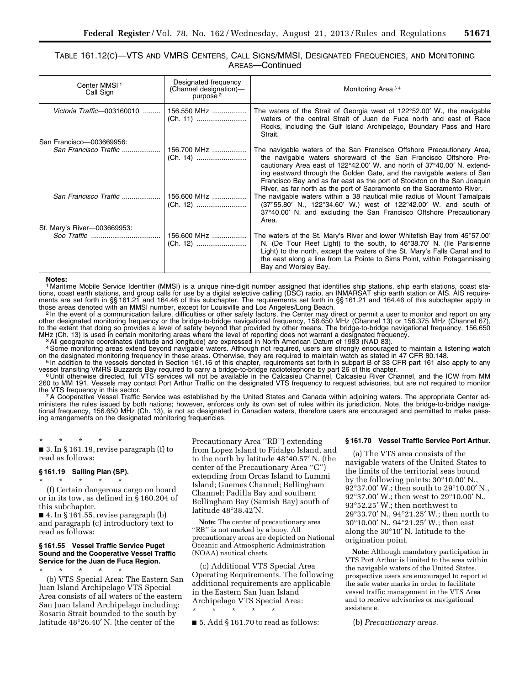# TABLE 161.12(C)—VTS AND VMRS CENTERS, CALL SIGNS/MMSI, DESIGNATED FREQUENCIES, AND MONITORING AREAS—Continued

| Center MMSI <sup>1</sup><br>Call Sign          | Designated frequency<br>(Channel designation)-<br>purpose <sup>2</sup> | Monitoring Area <sup>34</sup>                                                                                                                                                                                                                                                                                                                                                                                                                                                                                                                                                                                                                                                                                                          |
|------------------------------------------------|------------------------------------------------------------------------|----------------------------------------------------------------------------------------------------------------------------------------------------------------------------------------------------------------------------------------------------------------------------------------------------------------------------------------------------------------------------------------------------------------------------------------------------------------------------------------------------------------------------------------------------------------------------------------------------------------------------------------------------------------------------------------------------------------------------------------|
| Victoria Traffic-003160010                     | 156.550 MHz                                                            | The waters of the Strait of Georgia west of 122 $\degree$ 52.00' W., the navigable<br>waters of the central Strait of Juan de Fuca north and east of Race<br>Rocks, including the Gulf Island Archipelago, Boundary Pass and Haro<br>Strait.                                                                                                                                                                                                                                                                                                                                                                                                                                                                                           |
| San Francisco-003669956:                       |                                                                        |                                                                                                                                                                                                                                                                                                                                                                                                                                                                                                                                                                                                                                                                                                                                        |
| San Francisco Traffic<br>San Francisco Traffic | 156.700 MHz<br>(Ch. 14)<br>156.600 MHz<br>(Ch. 12)                     | The navigable waters of the San Francisco Offshore Precautionary Area,<br>the navigable waters shoreward of the San Francisco Offshore Pre-<br>cautionary Area east of 122 $\degree$ 42.00' W. and north of 37 $\degree$ 40.00' N. extend-<br>ing eastward through the Golden Gate, and the navigable waters of San<br>Francisco Bay and as far east as the port of Stockton on the San Joaquin<br>River, as far north as the port of Sacramento on the Sacramento River.<br>The navigable waters within a 38 nautical mile radius of Mount Tamalpais<br>$(37^{\circ}55.80'$ N., 122 $^{\circ}34.60'$ W.) west of 122 $^{\circ}42.00'$ W. and south of<br>37°40.00' N. and excluding the San Francisco Offshore Precautionary<br>Area. |
| St. Mary's River-003669953:                    |                                                                        |                                                                                                                                                                                                                                                                                                                                                                                                                                                                                                                                                                                                                                                                                                                                        |
|                                                | 156.600 MHz<br>(Ch. 12)                                                | The waters of the St. Mary's River and lower Whitefish Bay from 45°57.00'<br>N. (De Tour Reef Light) to the south, to 46°38.70' N. (Ile Parisienne<br>Light) to the north, except the waters of the St. Mary's Falls Canal and to<br>the east along a line from La Pointe to Sims Point, within Potagannissing<br>Bay and Worsley Bay.                                                                                                                                                                                                                                                                                                                                                                                                 |

**Notes:**  1 Maritime Mobile Service Identifier (MMSI) is a unique nine-digit number assigned that identifies ship stations, ship earth stations, coast stations, coast earth stations, and group calls for use by a digital selective calling (DSC) radio, an INMARSAT ship earth station or AIS. AIS requirements are set forth in §§ 161.21 and 164.46 of this subchapter. The requirements set forth in §§ 161.21 and 164.46 of this subchapter apply in those areas denoted with an MMSI number, except for Louisville and Los Angeles/Long Beach.<br><sup>2</sup> In the event of a communication failure, difficulties or other safety factors, the Center may direct or permit a user to monito

other designated monitoring frequency or the bridge-to-bridge navigational frequency, 156.650 MHz (Channel 13) or 156.375 MHz (Channel 67), to the extent that doing so provides a level of safety beyond that provided by other means. The bridge-to-bridge navigational frequency, 156.650 MHz (Ch. 13) is used in certain monitoring areas where the level of reporting does not warrant a designated frequency.<br>3 All geographic coordinates (latitude and longitude) are expressed in North American Datum of 1983 (NA

<sup>4</sup>Some monitoring areas extend beyond navigable waters. Although not required, users are strongly encouraged to maintain a listening watch<br>on the designated monitoring frequency in these areas. Otherwise, they are require

<sup>5</sup>In addition to the vessels denoted in Section 161.16 of this chapter, requirements set forth in subpart B of 33 CFR part 161 also apply to any<br>vessel transiting VMRS Buzzards Bay required to carry a bridge-to-bridge rad

<sup>6</sup> Until otherwise directed, full VTS services will not be available in the Calcasieu Channel, Calcasieu River Channel, and the ICW from MM 260 to MM 191. Vessels may contact Port Arthur Traffic on the designated VTS frequency to request advisories, but are not required to monitor<br>the VTS frequency in this sector.

<sup>7</sup>A Cooperative Vessel Traffic Service was established by the United States and Canada within adjoining waters. The appropriate Center administers the rules issued by both nations; however, enforces only its own set of rules within its jurisdiction. Note, the bridge-to-bridge navigational frequency, 156.650 MHz (Ch. 13), is not so designated in Canadian waters, therefore users are encouraged and permitted to make passing arrangements on the designated monitoring frequencies.

\* \* \* \* \*  $\blacksquare$  3. In § 161.19, revise paragraph (f) to read as follows:

### **§ 161.19 Sailing Plan (SP).**

\* \* \* \* \*

(f) Certain dangerous cargo on board or in its tow, as defined in § 160.204 of this subchapter.

■ 4. In § 161.55, revise paragraph (b) and paragraph (c) introductory text to read as follows:

## **§ 161.55 Vessel Traffic Service Puget Sound and the Cooperative Vessel Traffic Service for the Juan de Fuca Region.**

\* \* \* \* \*

(b) VTS Special Area: The Eastern San Juan Island Archipelago VTS Special Area consists of all waters of the eastern San Juan Island Archipelago including: Rosario Strait bounded to the south by latitude 48°26.40′ N. (the center of the

Precautionary Area ''RB'') extending from Lopez Island to Fidalgo Island, and to the north by latitude 48°40.57′ N. (the center of the Precautionary Area ''C'') extending from Orcas Island to Lummi Island; Guemes Channel; Bellingham Channel; Padilla Bay and southern Bellingham Bay (Samish Bay) south of latitude 48°38.42′N.

**Note:** The center of precautionary area ''RB'' is not marked by a buoy. All precautionary areas are depicted on National Oceanic and Atmospheric Administration (NOAA) nautical charts.

(c) Additional VTS Special Area Operating Requirements. The following additional requirements are applicable in the Eastern San Juan Island Archipelago VTS Special Area: \* \* \* \* \*

 $\blacksquare$  5. Add § 161.70 to read as follows:

#### **§ 161.70 Vessel Traffic Service Port Arthur.**

(a) The VTS area consists of the navigable waters of the United States to the limits of the territorial seas bound by the following points: 30°10.00′ N., 92°37.00′ W.; then south to 29°10.00′ N., 92°37.00′ W.; then west to 29°10.00′ N., 93°52.25′ W.; then northwest to 29°33.70′ N., 94°21.25′ W.; then north to 30°10.00′ N., 94°21.25′ W.; then east along the 30°10′ N. latitude to the origination point.

**Note:** Although mandatory participation in VTS Port Arthur is limited to the area within the navigable waters of the United States, prospective users are encouraged to report at the safe water marks in order to facilitate vessel traffic management in the VTS Area and to receive advisories or navigational assistance.

(b) *Precautionary areas.*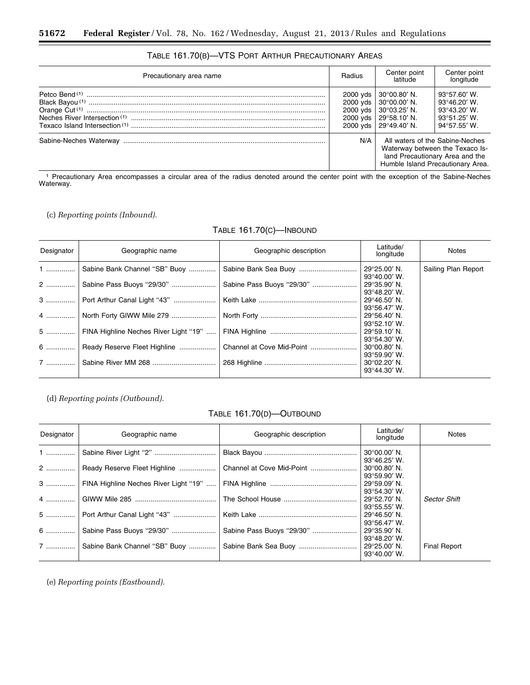| Precautionary area name |     | Center point<br>latitude                                                                                                                                                           | Center point<br>longitude                                                                                                 |
|-------------------------|-----|------------------------------------------------------------------------------------------------------------------------------------------------------------------------------------|---------------------------------------------------------------------------------------------------------------------------|
|                         |     | 2000 yds   $30^{\circ}00.80'$ N.<br>2000 yds   $30^{\circ}00.00'$ N.<br>2000 yds   $30^{\circ}03.25'$ N.<br>2000 yds   $29^{\circ}58.10'$ N.<br>2000 yds   29 $^{\circ}$ 49.40' N. | $93^{\circ}57.60'$ W.<br>$93^{\circ}46.20'$ W.<br>$93^{\circ}43.20'$ W.<br>$93^{\circ}51.25'$ W.<br>$94^{\circ}57.55'$ W. |
|                         | N/A | Humble Island Precautionary Area.                                                                                                                                                  | All waters of the Sabine-Neches<br>Waterway between the Texaco Is-<br>land Precautionary Area and the                     |

# TABLE 161.70(B)—VTS PORT ARTHUR PRECAUTIONARY AREAS

1 Precautionary Area encompasses a circular area of the radius denoted around the center point with the exception of the Sabine-Neches Waterway.

# (c) *Reporting points (Inbound).*

# TABLE 161.70(C)—INBOUND

| Designator | Geographic name                            | Geographic description    | Latitude/<br>longitude                         | <b>Notes</b>        |
|------------|--------------------------------------------|---------------------------|------------------------------------------------|---------------------|
|            | 1    Sabine Bank Channel "SB" Buoy         |                           | 29°25.00′N.<br>$93^{\circ}40.00'$ W.           | Sailing Plan Report |
|            | 2    Sabine Pass Buoys "29/30"             | Sabine Pass Buoys "29/30" | $29^{\circ}35.90'$ N.<br>$93^{\circ}48.20'$ W. |                     |
|            | 3    Port Arthur Canal Light "43"          |                           | $29^{\circ}46.50'$ N.<br>$93^{\circ}56.47'$ W. |                     |
|            | 4    North Forty GIWW Mile 279             |                           | 29°56.40′N.<br>$93^{\circ}52.10'$ W.           |                     |
|            | 5    FINA Highline Neches River Light "19" |                           | $29^{\circ}59.10'$ N.<br>93°54.30' W.          |                     |
|            | 6    Ready Reserve Fleet Highline          | Channel at Cove Mid-Point | $30^{\circ}00.80'$ N.<br>$93^{\circ}59.90'$ W. |                     |
|            |                                            |                           | $30^{\circ}02.20'$ N.<br>$93^{\circ}44.30'$ W. |                     |

(d) *Reporting points (Outbound).* 

# TABLE 161.70(D)—OUTBOUND

| Designator | Geographic name                                            | Geographic description    | Latitude/<br>longitude                                                  | <b>Notes</b>        |
|------------|------------------------------------------------------------|---------------------------|-------------------------------------------------------------------------|---------------------|
| $1$        |                                                            |                           | $30^{\circ}00.00'$ N.                                                   |                     |
|            | Ready Reserve Fleet Highline                               | Channel at Cove Mid-Point | $93^{\circ}46.25'$ W.<br>$30^{\circ}00.80'$ N.<br>$93^{\circ}59.90'$ W. |                     |
|            | 3    FINA Highline Neches River Light "19"                 |                           | $29^{\circ}59.09'$ N.<br>$93^{\circ}54.30'$ W.                          |                     |
|            |                                                            |                           | 29°52.70′ N.<br>$93^{\circ}55.55'$ W.                                   | <b>Sector Shift</b> |
|            | 5    Port Arthur Canal Light "43"                          |                           | $29^{\circ}46.50'$ N.                                                   |                     |
|            | 6  Sabine Pass Buoys "29/30"                               | Sabine Pass Buoys "29/30" | $93^{\circ}56.47'$ W.<br>29°35.90' N.                                   |                     |
|            | 7    Sabine Bank Channel "SB" Buoy    Sabine Bank Sea Buoy |                           | 93°48.20' W.<br>29°25.00′N.<br>$93^{\circ}40.00'$ W.                    | <b>Final Report</b> |

(e) *Reporting points (Eastbound).*